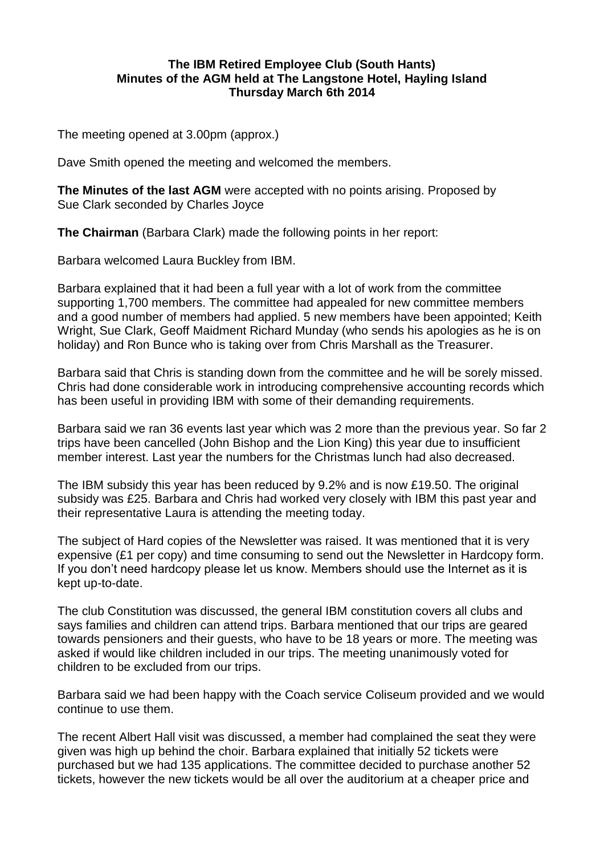## **The IBM Retired Employee Club (South Hants) Minutes of the AGM held at The Langstone Hotel, Hayling Island Thursday March 6th 2014**

The meeting opened at 3.00pm (approx.)

Dave Smith opened the meeting and welcomed the members.

**The Minutes of the last AGM** were accepted with no points arising. Proposed by Sue Clark seconded by Charles Joyce

**The Chairman** (Barbara Clark) made the following points in her report:

Barbara welcomed Laura Buckley from IBM.

Barbara explained that it had been a full year with a lot of work from the committee supporting 1,700 members. The committee had appealed for new committee members and a good number of members had applied. 5 new members have been appointed; Keith Wright, Sue Clark, Geoff Maidment Richard Munday (who sends his apologies as he is on holiday) and Ron Bunce who is taking over from Chris Marshall as the Treasurer.

Barbara said that Chris is standing down from the committee and he will be sorely missed. Chris had done considerable work in introducing comprehensive accounting records which has been useful in providing IBM with some of their demanding requirements.

Barbara said we ran 36 events last year which was 2 more than the previous year. So far 2 trips have been cancelled (John Bishop and the Lion King) this year due to insufficient member interest. Last year the numbers for the Christmas lunch had also decreased.

The IBM subsidy this year has been reduced by 9.2% and is now £19.50. The original subsidy was £25. Barbara and Chris had worked very closely with IBM this past year and their representative Laura is attending the meeting today.

The subject of Hard copies of the Newsletter was raised. It was mentioned that it is very expensive (£1 per copy) and time consuming to send out the Newsletter in Hardcopy form. If you don't need hardcopy please let us know. Members should use the Internet as it is kept up-to-date.

The club Constitution was discussed, the general IBM constitution covers all clubs and says families and children can attend trips. Barbara mentioned that our trips are geared towards pensioners and their guests, who have to be 18 years or more. The meeting was asked if would like children included in our trips. The meeting unanimously voted for children to be excluded from our trips.

Barbara said we had been happy with the Coach service Coliseum provided and we would continue to use them.

The recent Albert Hall visit was discussed, a member had complained the seat they were given was high up behind the choir. Barbara explained that initially 52 tickets were purchased but we had 135 applications. The committee decided to purchase another 52 tickets, however the new tickets would be all over the auditorium at a cheaper price and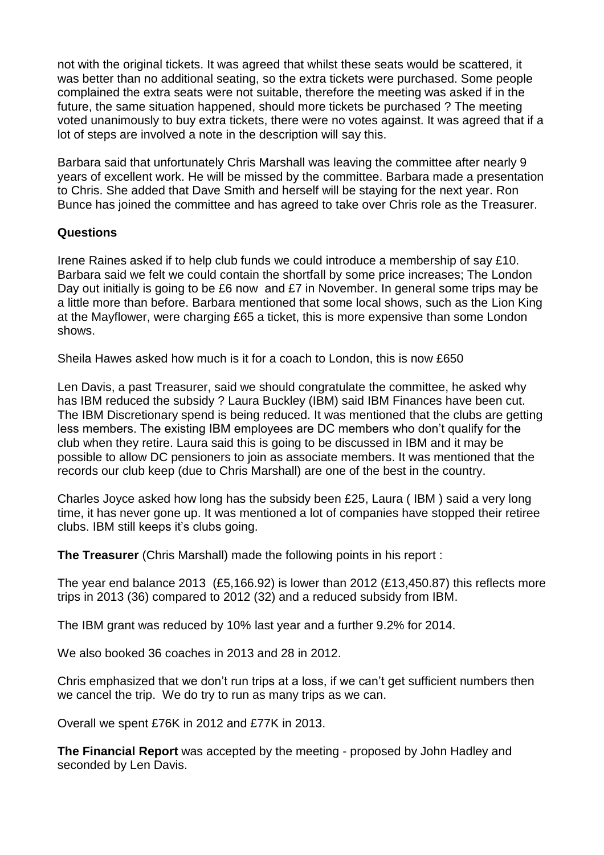not with the original tickets. It was agreed that whilst these seats would be scattered, it was better than no additional seating, so the extra tickets were purchased. Some people complained the extra seats were not suitable, therefore the meeting was asked if in the future, the same situation happened, should more tickets be purchased ? The meeting voted unanimously to buy extra tickets, there were no votes against. It was agreed that if a lot of steps are involved a note in the description will say this.

Barbara said that unfortunately Chris Marshall was leaving the committee after nearly 9 years of excellent work. He will be missed by the committee. Barbara made a presentation to Chris. She added that Dave Smith and herself will be staying for the next year. Ron Bunce has joined the committee and has agreed to take over Chris role as the Treasurer.

## **Questions**

Irene Raines asked if to help club funds we could introduce a membership of say £10. Barbara said we felt we could contain the shortfall by some price increases; The London Day out initially is going to be £6 now and £7 in November. In general some trips may be a little more than before. Barbara mentioned that some local shows, such as the Lion King at the Mayflower, were charging £65 a ticket, this is more expensive than some London shows.

Sheila Hawes asked how much is it for a coach to London, this is now £650

Len Davis, a past Treasurer, said we should congratulate the committee, he asked why has IBM reduced the subsidy ? Laura Buckley (IBM) said IBM Finances have been cut. The IBM Discretionary spend is being reduced. It was mentioned that the clubs are getting less members. The existing IBM employees are DC members who don't qualify for the club when they retire. Laura said this is going to be discussed in IBM and it may be possible to allow DC pensioners to join as associate members. It was mentioned that the records our club keep (due to Chris Marshall) are one of the best in the country.

Charles Joyce asked how long has the subsidy been £25, Laura ( IBM ) said a very long time, it has never gone up. It was mentioned a lot of companies have stopped their retiree clubs. IBM still keeps it's clubs going.

**The Treasurer** (Chris Marshall) made the following points in his report :

The year end balance 2013 (£5,166.92) is lower than 2012 (£13,450.87) this reflects more trips in 2013 (36) compared to 2012 (32) and a reduced subsidy from IBM.

The IBM grant was reduced by 10% last year and a further 9.2% for 2014.

We also booked 36 coaches in 2013 and 28 in 2012.

Chris emphasized that we don't run trips at a loss, if we can't get sufficient numbers then we cancel the trip. We do try to run as many trips as we can.

Overall we spent £76K in 2012 and £77K in 2013.

**The Financial Report** was accepted by the meeting - proposed by John Hadley and seconded by Len Davis.